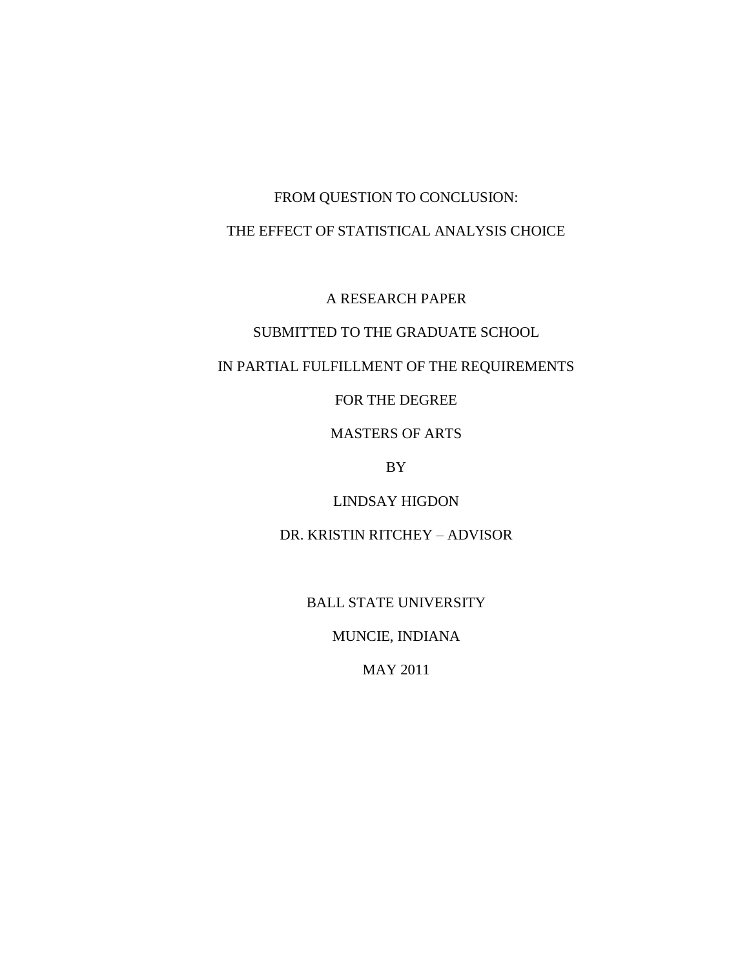# FROM QUESTION TO CONCLUSION: THE EFFECT OF STATISTICAL ANALYSIS CHOICE

A RESEARCH PAPER

# SUBMITTED TO THE GRADUATE SCHOOL

# IN PARTIAL FULFILLMENT OF THE REQUIREMENTS

FOR THE DEGREE

MASTERS OF ARTS

BY

LINDSAY HIGDON

DR. KRISTIN RITCHEY – ADVISOR

BALL STATE UNIVERSITY

MUNCIE, INDIANA

MAY 2011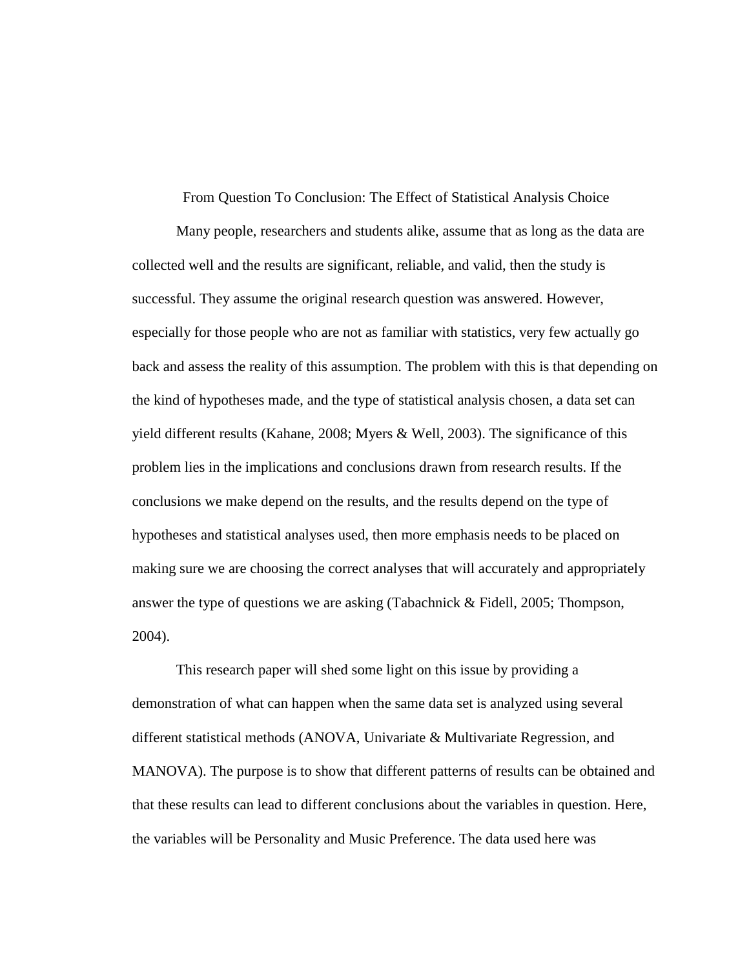From Question To Conclusion: The Effect of Statistical Analysis Choice

Many people, researchers and students alike, assume that as long as the data are collected well and the results are significant, reliable, and valid, then the study is successful. They assume the original research question was answered. However, especially for those people who are not as familiar with statistics, very few actually go back and assess the reality of this assumption. The problem with this is that depending on the kind of hypotheses made, and the type of statistical analysis chosen, a data set can yield different results (Kahane, 2008; Myers & Well, 2003). The significance of this problem lies in the implications and conclusions drawn from research results. If the conclusions we make depend on the results, and the results depend on the type of hypotheses and statistical analyses used, then more emphasis needs to be placed on making sure we are choosing the correct analyses that will accurately and appropriately answer the type of questions we are asking (Tabachnick & Fidell, 2005; Thompson, 2004).

This research paper will shed some light on this issue by providing a demonstration of what can happen when the same data set is analyzed using several different statistical methods (ANOVA, Univariate & Multivariate Regression, and MANOVA). The purpose is to show that different patterns of results can be obtained and that these results can lead to different conclusions about the variables in question. Here, the variables will be Personality and Music Preference. The data used here was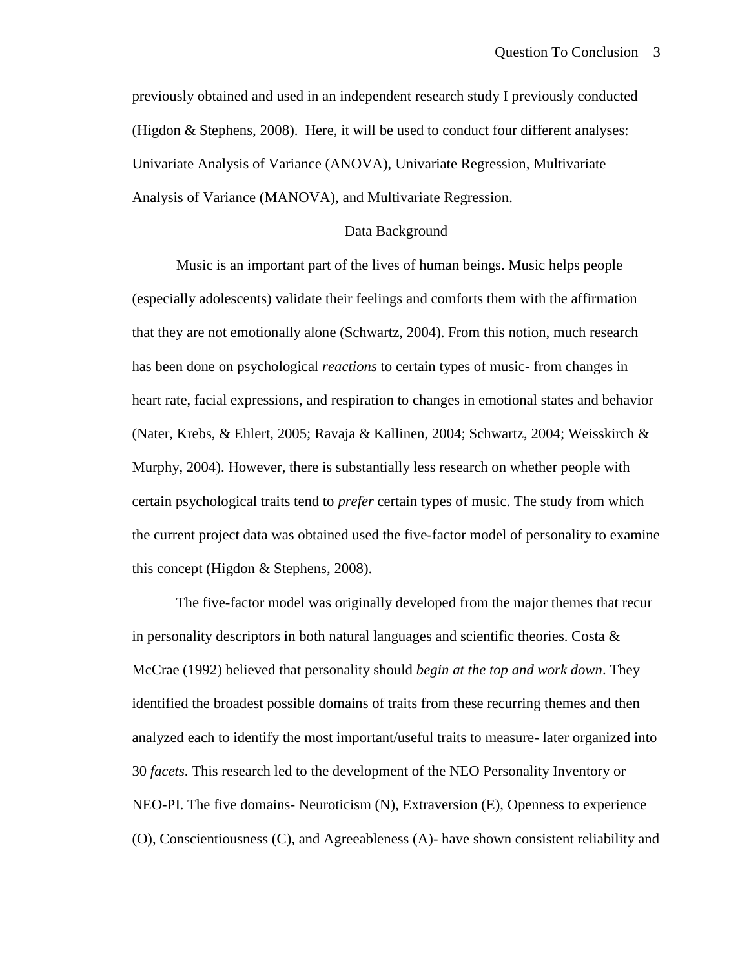previously obtained and used in an independent research study I previously conducted (Higdon & Stephens, 2008). Here, it will be used to conduct four different analyses: Univariate Analysis of Variance (ANOVA), Univariate Regression, Multivariate Analysis of Variance (MANOVA), and Multivariate Regression.

#### Data Background

Music is an important part of the lives of human beings. Music helps people (especially adolescents) validate their feelings and comforts them with the affirmation that they are not emotionally alone (Schwartz, 2004). From this notion, much research has been done on psychological *reactions* to certain types of music- from changes in heart rate, facial expressions, and respiration to changes in emotional states and behavior (Nater, Krebs, & Ehlert, 2005; Ravaja & Kallinen, 2004; Schwartz, 2004; Weisskirch & Murphy, 2004). However, there is substantially less research on whether people with certain psychological traits tend to *prefer* certain types of music. The study from which the current project data was obtained used the five-factor model of personality to examine this concept (Higdon & Stephens, 2008).

The five-factor model was originally developed from the major themes that recur in personality descriptors in both natural languages and scientific theories. Costa  $\&$ McCrae (1992) believed that personality should *begin at the top and work down*. They identified the broadest possible domains of traits from these recurring themes and then analyzed each to identify the most important/useful traits to measure- later organized into 30 *facets*. This research led to the development of the NEO Personality Inventory or NEO-PI. The five domains- Neuroticism (N), Extraversion (E), Openness to experience (O), Conscientiousness (C), and Agreeableness (A)- have shown consistent reliability and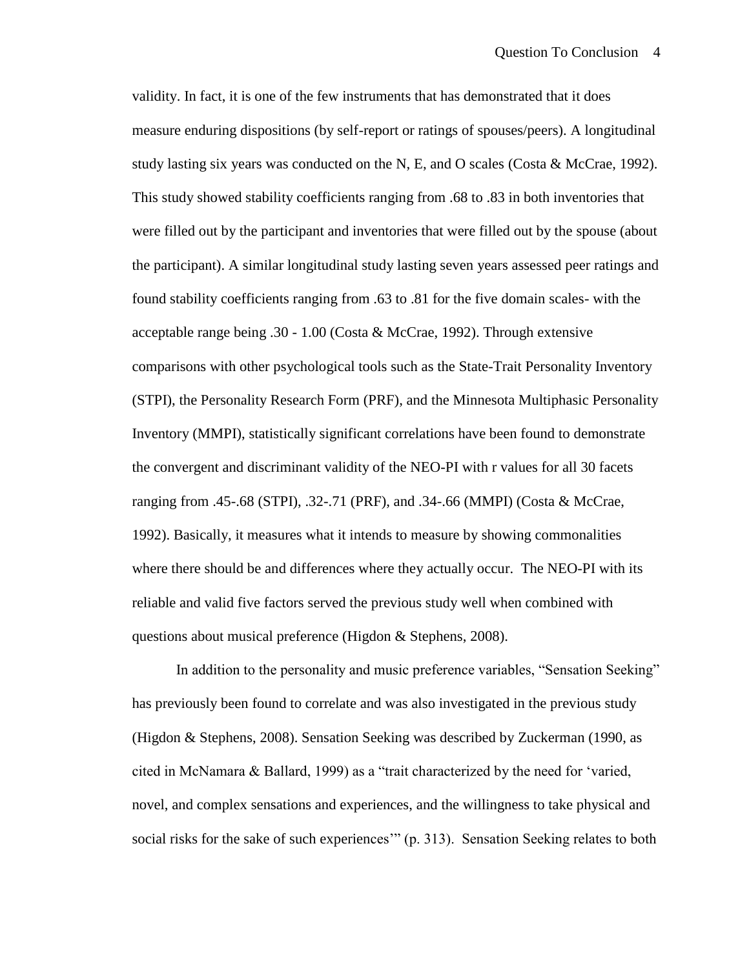validity. In fact, it is one of the few instruments that has demonstrated that it does measure enduring dispositions (by self-report or ratings of spouses/peers). A longitudinal study lasting six years was conducted on the N, E, and O scales (Costa & McCrae, 1992). This study showed stability coefficients ranging from .68 to .83 in both inventories that were filled out by the participant and inventories that were filled out by the spouse (about the participant). A similar longitudinal study lasting seven years assessed peer ratings and found stability coefficients ranging from .63 to .81 for the five domain scales- with the acceptable range being .30 - 1.00 (Costa & McCrae, 1992). Through extensive comparisons with other psychological tools such as the State-Trait Personality Inventory (STPI), the Personality Research Form (PRF), and the Minnesota Multiphasic Personality Inventory (MMPI), statistically significant correlations have been found to demonstrate the convergent and discriminant validity of the NEO-PI with r values for all 30 facets ranging from .45-.68 (STPI), .32-.71 (PRF), and .34-.66 (MMPI) (Costa & McCrae, 1992). Basically, it measures what it intends to measure by showing commonalities where there should be and differences where they actually occur. The NEO-PI with its reliable and valid five factors served the previous study well when combined with questions about musical preference (Higdon & Stephens, 2008).

In addition to the personality and music preference variables, "Sensation Seeking" has previously been found to correlate and was also investigated in the previous study (Higdon & Stephens, 2008). Sensation Seeking was described by Zuckerman (1990, as cited in McNamara & Ballard, 1999) as a "trait characterized by the need for "varied, novel, and complex sensations and experiences, and the willingness to take physical and social risks for the sake of such experiences" (p. 313). Sensation Seeking relates to both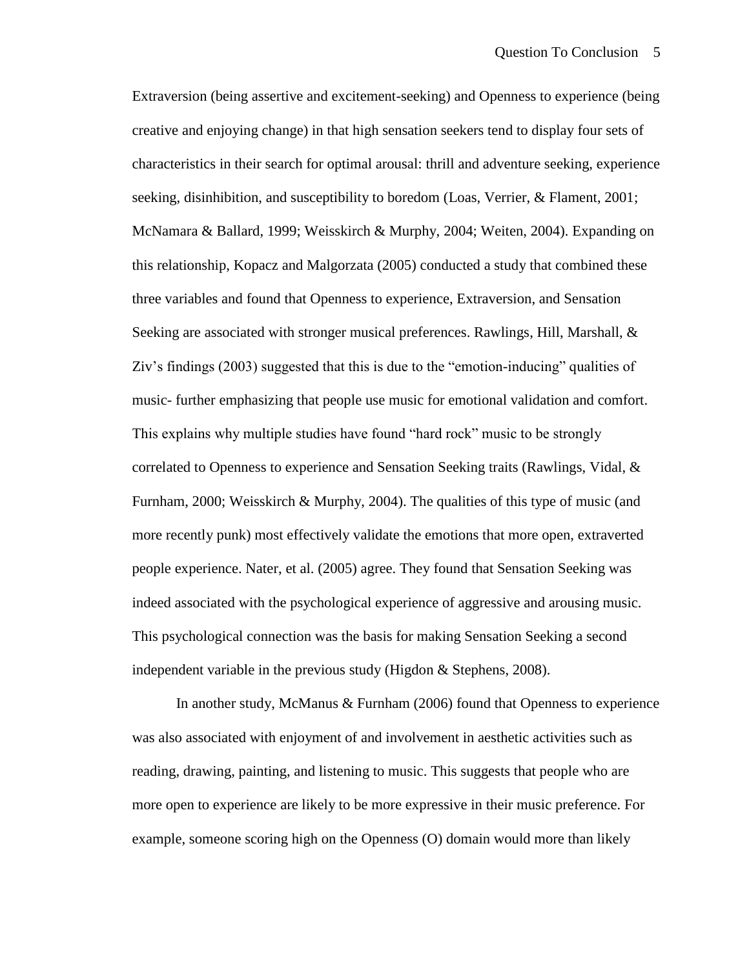Extraversion (being assertive and excitement-seeking) and Openness to experience (being creative and enjoying change) in that high sensation seekers tend to display four sets of characteristics in their search for optimal arousal: thrill and adventure seeking, experience seeking, disinhibition, and susceptibility to boredom (Loas, Verrier, & Flament, 2001; McNamara & Ballard, 1999; Weisskirch & Murphy, 2004; Weiten, 2004). Expanding on this relationship, Kopacz and Malgorzata (2005) conducted a study that combined these three variables and found that Openness to experience, Extraversion, and Sensation Seeking are associated with stronger musical preferences. Rawlings, Hill, Marshall, & Ziv"s findings (2003) suggested that this is due to the "emotion-inducing" qualities of music- further emphasizing that people use music for emotional validation and comfort. This explains why multiple studies have found "hard rock" music to be strongly correlated to Openness to experience and Sensation Seeking traits (Rawlings, Vidal, & Furnham, 2000; Weisskirch & Murphy, 2004). The qualities of this type of music (and more recently punk) most effectively validate the emotions that more open, extraverted people experience. Nater, et al. (2005) agree. They found that Sensation Seeking was indeed associated with the psychological experience of aggressive and arousing music. This psychological connection was the basis for making Sensation Seeking a second independent variable in the previous study (Higdon & Stephens, 2008).

In another study, McManus & Furnham (2006) found that Openness to experience was also associated with enjoyment of and involvement in aesthetic activities such as reading, drawing, painting, and listening to music. This suggests that people who are more open to experience are likely to be more expressive in their music preference. For example, someone scoring high on the Openness (O) domain would more than likely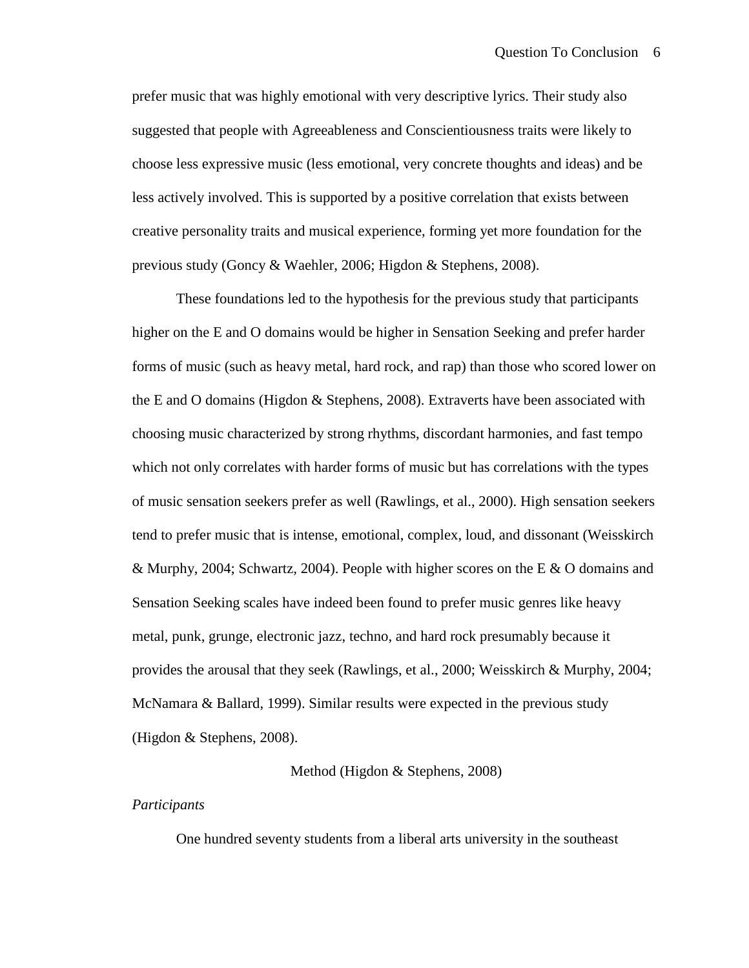prefer music that was highly emotional with very descriptive lyrics. Their study also suggested that people with Agreeableness and Conscientiousness traits were likely to choose less expressive music (less emotional, very concrete thoughts and ideas) and be less actively involved. This is supported by a positive correlation that exists between creative personality traits and musical experience, forming yet more foundation for the previous study (Goncy & Waehler, 2006; Higdon & Stephens, 2008).

These foundations led to the hypothesis for the previous study that participants higher on the E and O domains would be higher in Sensation Seeking and prefer harder forms of music (such as heavy metal, hard rock, and rap) than those who scored lower on the E and O domains (Higdon  $&$  Stephens, 2008). Extraverts have been associated with choosing music characterized by strong rhythms, discordant harmonies, and fast tempo which not only correlates with harder forms of music but has correlations with the types of music sensation seekers prefer as well (Rawlings, et al., 2000). High sensation seekers tend to prefer music that is intense, emotional, complex, loud, and dissonant (Weisskirch & Murphy, 2004; Schwartz, 2004). People with higher scores on the E & O domains and Sensation Seeking scales have indeed been found to prefer music genres like heavy metal, punk, grunge, electronic jazz, techno, and hard rock presumably because it provides the arousal that they seek (Rawlings, et al., 2000; Weisskirch & Murphy, 2004; McNamara & Ballard, 1999). Similar results were expected in the previous study (Higdon & Stephens, 2008).

# Method (Higdon & Stephens, 2008)

# *Participants*

One hundred seventy students from a liberal arts university in the southeast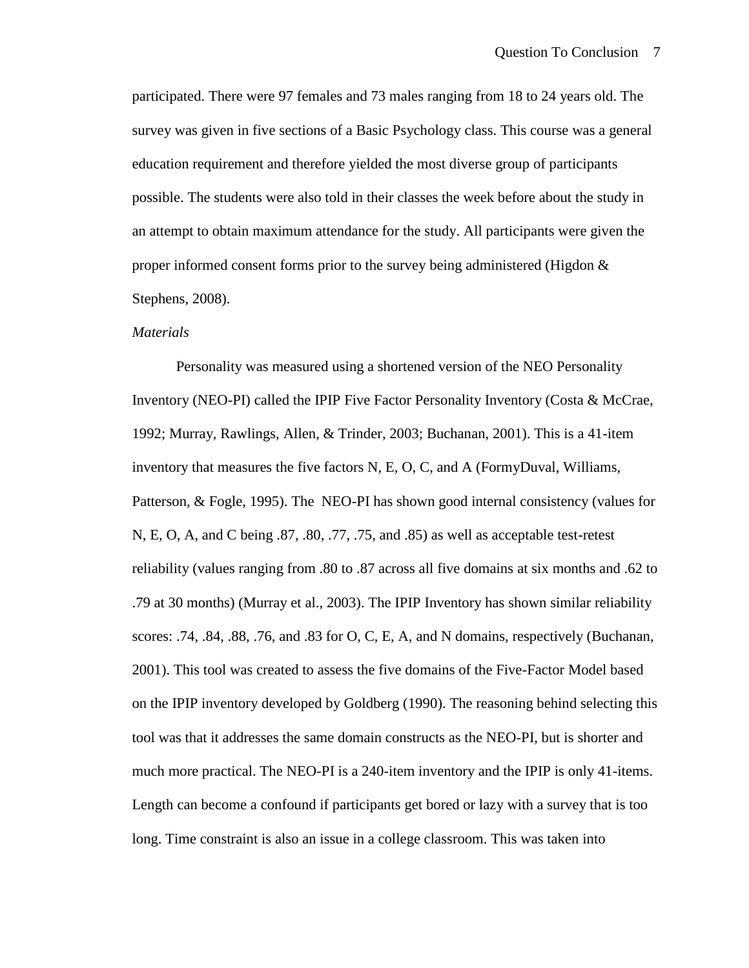participated. There were 97 females and 73 males ranging from 18 to 24 years old. The survey was given in five sections of a Basic Psychology class. This course was a general education requirement and therefore yielded the most diverse group of participants possible. The students were also told in their classes the week before about the study in an attempt to obtain maximum attendance for the study. All participants were given the proper informed consent forms prior to the survey being administered (Higdon & Stephens, 2008).

# *Materials*

Personality was measured using a shortened version of the NEO Personality Inventory (NEO-PI) called the IPIP Five Factor Personality Inventory (Costa & McCrae, 1992; Murray, Rawlings, Allen, & Trinder, 2003; Buchanan, 2001). This is a 41-item inventory that measures the five factors N, E, O, C, and A (FormyDuval, Williams, Patterson, & Fogle, 1995). The NEO-PI has shown good internal consistency (values for N, E, O, A, and C being .87, .80, .77, .75, and .85) as well as acceptable test-retest reliability (values ranging from .80 to .87 across all five domains at six months and .62 to .79 at 30 months) (Murray et al., 2003). The IPIP Inventory has shown similar reliability scores: .74, .84, .88, .76, and .83 for O, C, E, A, and N domains, respectively (Buchanan, 2001). This tool was created to assess the five domains of the Five-Factor Model based on the IPIP inventory developed by Goldberg (1990). The reasoning behind selecting this tool was that it addresses the same domain constructs as the NEO-PI, but is shorter and much more practical. The NEO-PI is a 240-item inventory and the IPIP is only 41-items. Length can become a confound if participants get bored or lazy with a survey that is too long. Time constraint is also an issue in a college classroom. This was taken into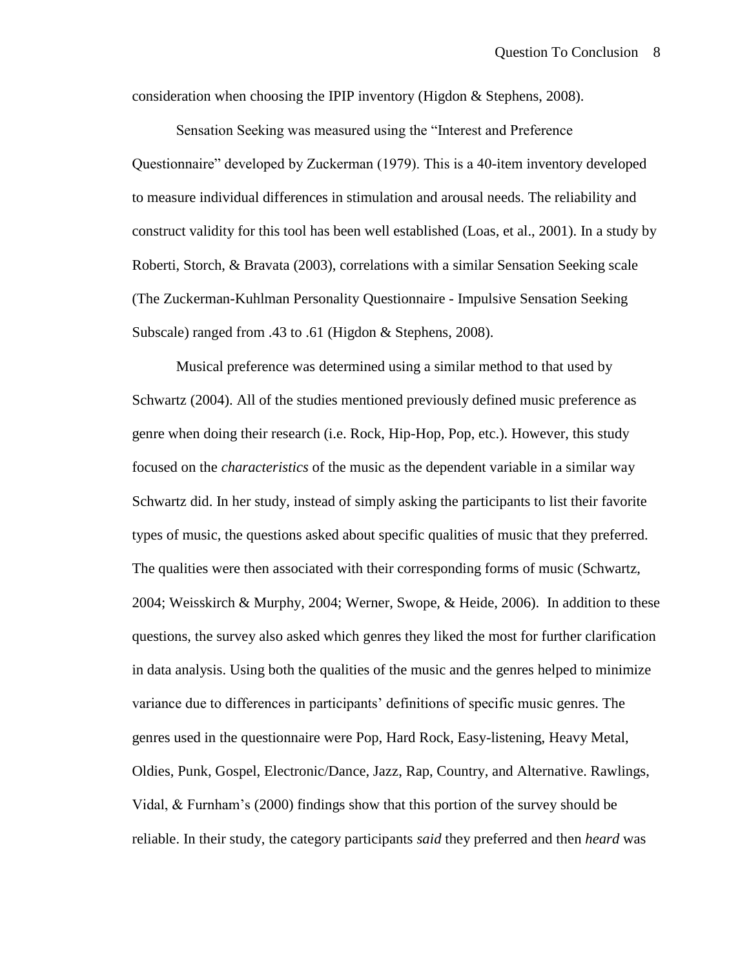consideration when choosing the IPIP inventory (Higdon & Stephens, 2008).

Sensation Seeking was measured using the "Interest and Preference Questionnaire" developed by Zuckerman (1979). This is a 40-item inventory developed to measure individual differences in stimulation and arousal needs. The reliability and construct validity for this tool has been well established (Loas, et al., 2001). In a study by Roberti, Storch, & Bravata (2003), correlations with a similar Sensation Seeking scale (The Zuckerman-Kuhlman Personality Questionnaire - Impulsive Sensation Seeking Subscale) ranged from .43 to .61 (Higdon & Stephens, 2008).

Musical preference was determined using a similar method to that used by Schwartz (2004). All of the studies mentioned previously defined music preference as genre when doing their research (i.e. Rock, Hip-Hop, Pop, etc.). However, this study focused on the *characteristics* of the music as the dependent variable in a similar way Schwartz did. In her study, instead of simply asking the participants to list their favorite types of music, the questions asked about specific qualities of music that they preferred. The qualities were then associated with their corresponding forms of music (Schwartz, 2004; Weisskirch & Murphy, 2004; Werner, Swope, & Heide, 2006). In addition to these questions, the survey also asked which genres they liked the most for further clarification in data analysis. Using both the qualities of the music and the genres helped to minimize variance due to differences in participants" definitions of specific music genres. The genres used in the questionnaire were Pop, Hard Rock, Easy-listening, Heavy Metal, Oldies, Punk, Gospel, Electronic/Dance, Jazz, Rap, Country, and Alternative. Rawlings, Vidal, & Furnham"s (2000) findings show that this portion of the survey should be reliable. In their study, the category participants *said* they preferred and then *heard* was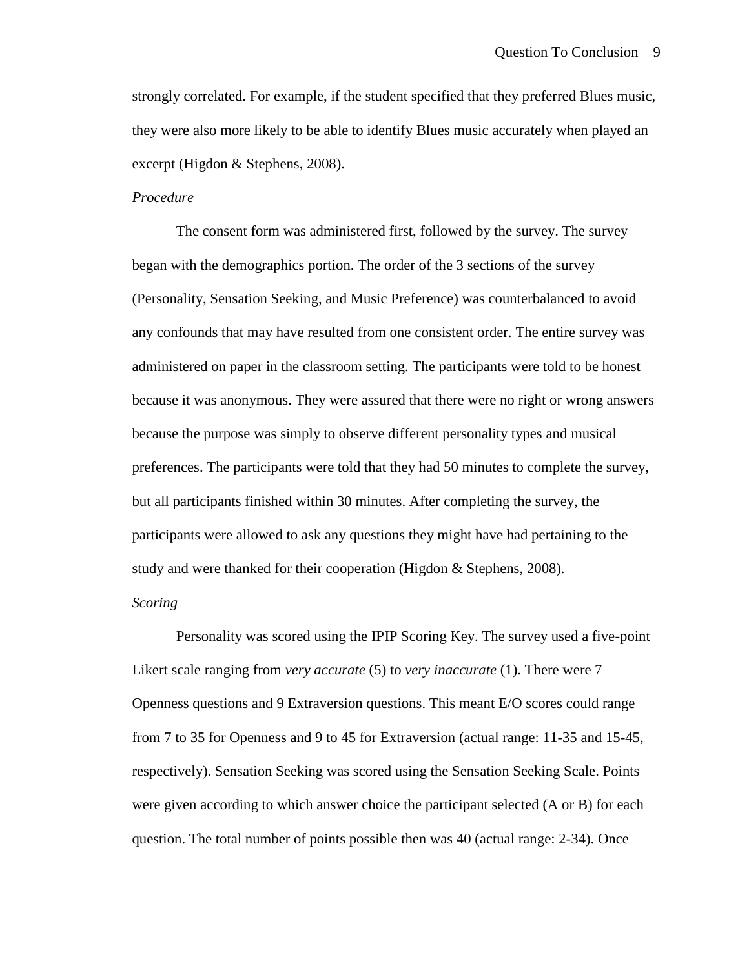strongly correlated. For example, if the student specified that they preferred Blues music, they were also more likely to be able to identify Blues music accurately when played an excerpt (Higdon & Stephens, 2008).

# *Procedure*

The consent form was administered first, followed by the survey. The survey began with the demographics portion. The order of the 3 sections of the survey (Personality, Sensation Seeking, and Music Preference) was counterbalanced to avoid any confounds that may have resulted from one consistent order. The entire survey was administered on paper in the classroom setting. The participants were told to be honest because it was anonymous. They were assured that there were no right or wrong answers because the purpose was simply to observe different personality types and musical preferences. The participants were told that they had 50 minutes to complete the survey, but all participants finished within 30 minutes. After completing the survey, the participants were allowed to ask any questions they might have had pertaining to the study and were thanked for their cooperation (Higdon & Stephens, 2008).

# *Scoring*

Personality was scored using the IPIP Scoring Key. The survey used a five-point Likert scale ranging from *very accurate* (5) to *very inaccurate* (1). There were 7 Openness questions and 9 Extraversion questions. This meant E/O scores could range from 7 to 35 for Openness and 9 to 45 for Extraversion (actual range: 11-35 and 15-45, respectively). Sensation Seeking was scored using the Sensation Seeking Scale. Points were given according to which answer choice the participant selected (A or B) for each question. The total number of points possible then was 40 (actual range: 2-34). Once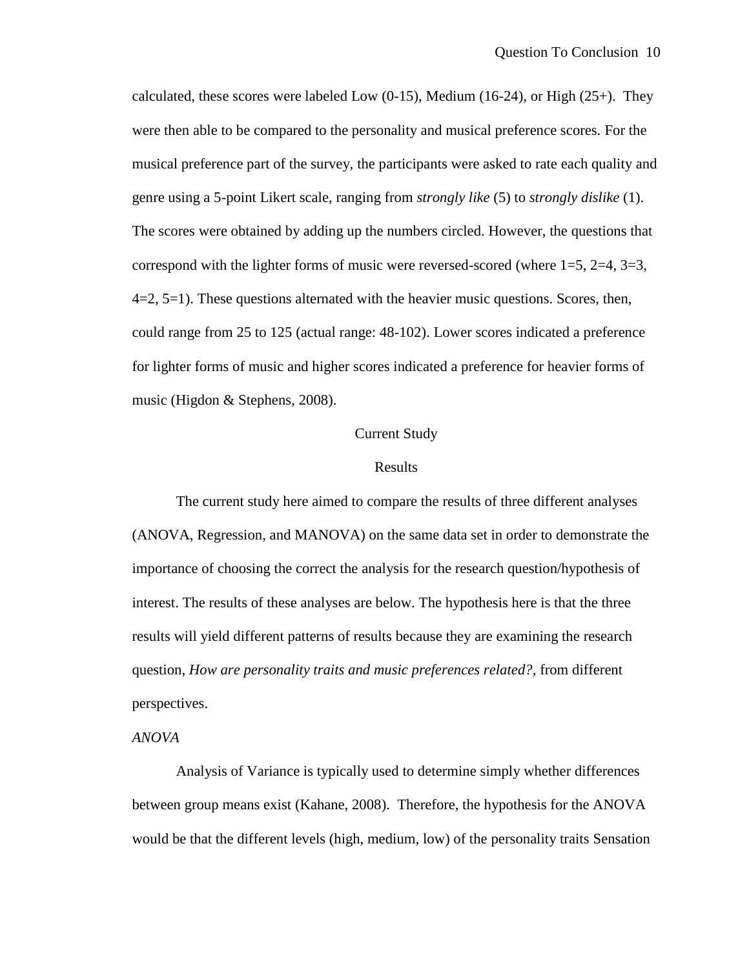calculated, these scores were labeled Low  $(0-15)$ , Medium  $(16-24)$ , or High  $(25+)$ . They were then able to be compared to the personality and musical preference scores. For the musical preference part of the survey, the participants were asked to rate each quality and genre using a 5-point Likert scale, ranging from *strongly like* (5) to *strongly dislike* (1). The scores were obtained by adding up the numbers circled. However, the questions that correspond with the lighter forms of music were reversed-scored (where  $1=5$ ,  $2=4$ ,  $3=3$ ,  $4=2, 5=1$ ). These questions alternated with the heavier music questions. Scores, then, could range from 25 to 125 (actual range: 48-102). Lower scores indicated a preference for lighter forms of music and higher scores indicated a preference for heavier forms of music (Higdon & Stephens, 2008).

# Current Study

# Results

The current study here aimed to compare the results of three different analyses (ANOVA, Regression, and MANOVA) on the same data set in order to demonstrate the importance of choosing the correct the analysis for the research question/hypothesis of interest. The results of these analyses are below. The hypothesis here is that the three results will yield different patterns of results because they are examining the research question, *How are personality traits and music preferences related?,* from different perspectives.

# *ANOVA*

Analysis of Variance is typically used to determine simply whether differences between group means exist (Kahane, 2008). Therefore, the hypothesis for the ANOVA would be that the different levels (high, medium, low) of the personality traits Sensation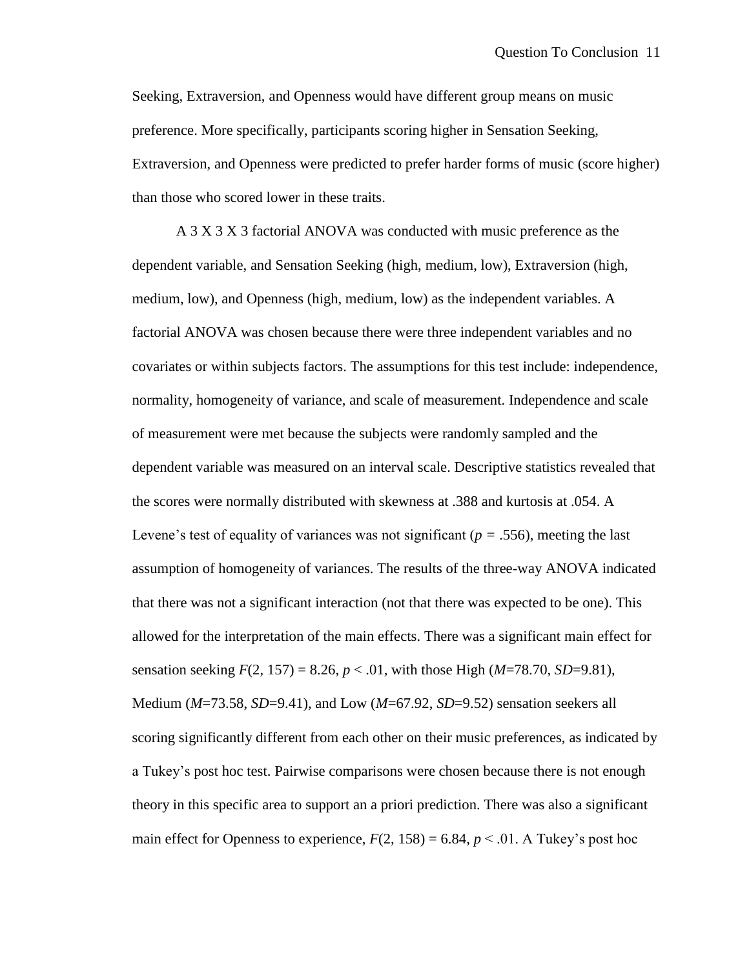Seeking, Extraversion, and Openness would have different group means on music preference. More specifically, participants scoring higher in Sensation Seeking, Extraversion, and Openness were predicted to prefer harder forms of music (score higher) than those who scored lower in these traits.

A 3 X 3 X 3 factorial ANOVA was conducted with music preference as the dependent variable, and Sensation Seeking (high, medium, low), Extraversion (high, medium, low), and Openness (high, medium, low) as the independent variables. A factorial ANOVA was chosen because there were three independent variables and no covariates or within subjects factors. The assumptions for this test include: independence, normality, homogeneity of variance, and scale of measurement. Independence and scale of measurement were met because the subjects were randomly sampled and the dependent variable was measured on an interval scale. Descriptive statistics revealed that the scores were normally distributed with skewness at .388 and kurtosis at .054. A Levene's test of equality of variances was not significant ( $p = .556$ ), meeting the last assumption of homogeneity of variances. The results of the three-way ANOVA indicated that there was not a significant interaction (not that there was expected to be one). This allowed for the interpretation of the main effects. There was a significant main effect for sensation seeking  $F(2, 157) = 8.26$ ,  $p < .01$ , with those High (*M*=78.70, *SD*=9.81), Medium (*M*=73.58, *SD*=9.41), and Low (*M*=67.92, *SD*=9.52) sensation seekers all scoring significantly different from each other on their music preferences, as indicated by a Tukey"s post hoc test. Pairwise comparisons were chosen because there is not enough theory in this specific area to support an a priori prediction. There was also a significant main effect for Openness to experience,  $F(2, 158) = 6.84$ ,  $p < .01$ . A Tukey's post hoc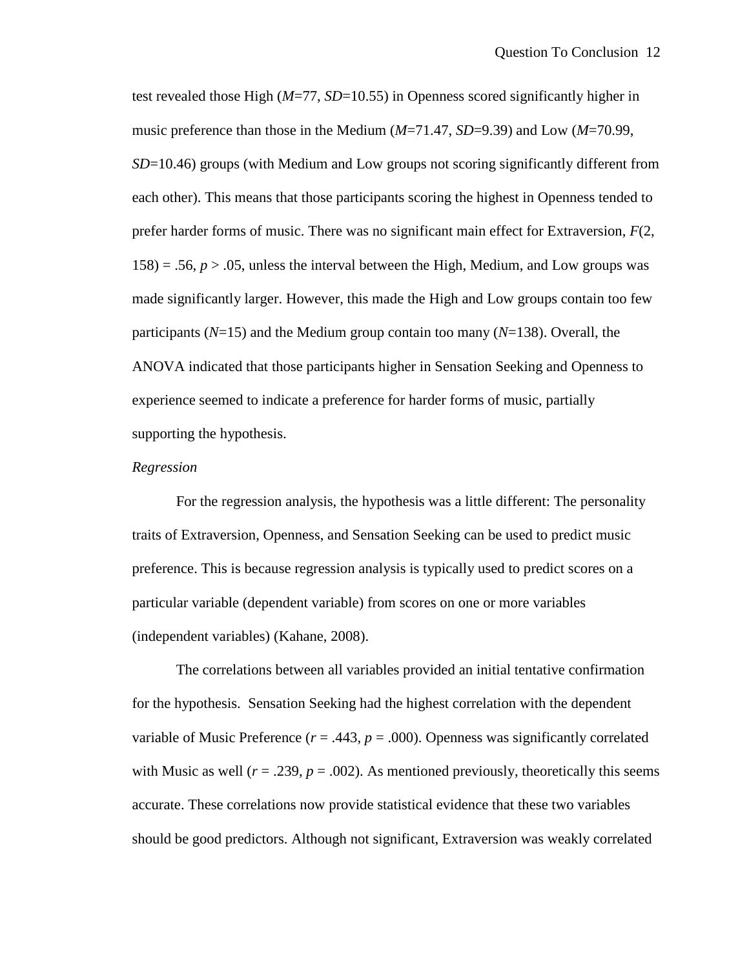test revealed those High (*M*=77, *SD*=10.55) in Openness scored significantly higher in music preference than those in the Medium (*M*=71.47, *SD*=9.39) and Low (*M*=70.99, *SD*=10.46) groups (with Medium and Low groups not scoring significantly different from each other). This means that those participants scoring the highest in Openness tended to prefer harder forms of music. There was no significant main effect for Extraversion, *F*(2,  $158$ ) = .56,  $p > 0.05$ , unless the interval between the High, Medium, and Low groups was made significantly larger. However, this made the High and Low groups contain too few participants (*N*=15) and the Medium group contain too many (*N*=138). Overall, the ANOVA indicated that those participants higher in Sensation Seeking and Openness to experience seemed to indicate a preference for harder forms of music, partially supporting the hypothesis.

#### *Regression*

For the regression analysis, the hypothesis was a little different: The personality traits of Extraversion, Openness, and Sensation Seeking can be used to predict music preference. This is because regression analysis is typically used to predict scores on a particular variable (dependent variable) from scores on one or more variables (independent variables) (Kahane, 2008).

The correlations between all variables provided an initial tentative confirmation for the hypothesis. Sensation Seeking had the highest correlation with the dependent variable of Music Preference  $(r = .443, p = .000)$ . Openness was significantly correlated with Music as well  $(r = .239, p = .002)$ . As mentioned previously, theoretically this seems accurate. These correlations now provide statistical evidence that these two variables should be good predictors. Although not significant, Extraversion was weakly correlated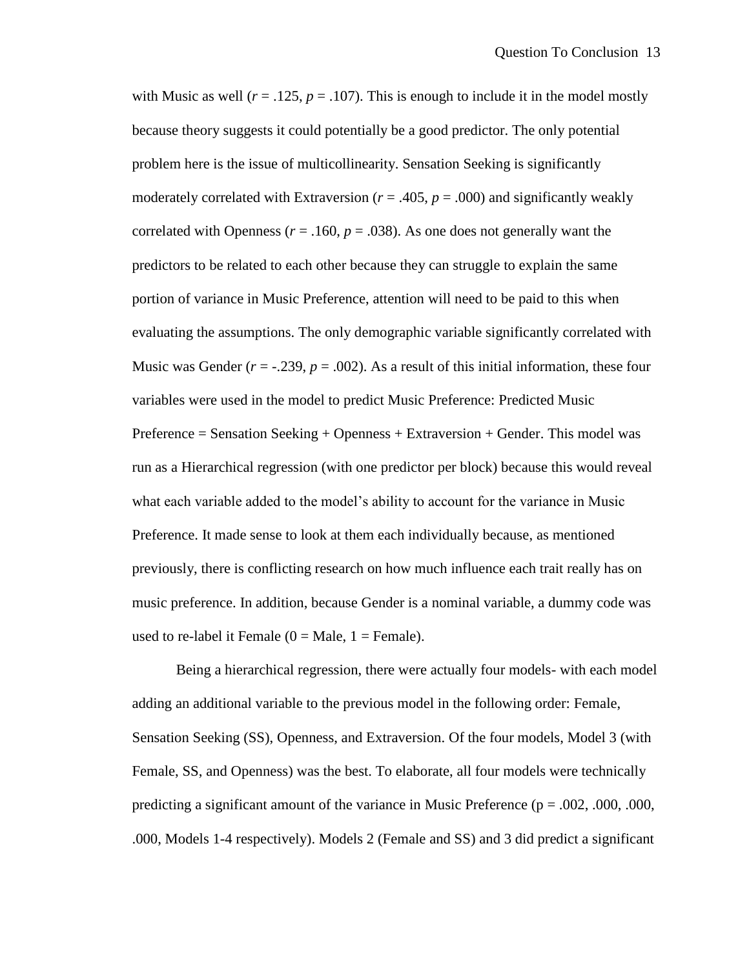with Music as well  $(r = .125, p = .107)$ . This is enough to include it in the model mostly because theory suggests it could potentially be a good predictor. The only potential problem here is the issue of multicollinearity. Sensation Seeking is significantly moderately correlated with Extraversion  $(r = .405, p = .000)$  and significantly weakly correlated with Openness ( $r = .160$ ,  $p = .038$ ). As one does not generally want the predictors to be related to each other because they can struggle to explain the same portion of variance in Music Preference, attention will need to be paid to this when evaluating the assumptions. The only demographic variable significantly correlated with Music was Gender  $(r = -0.239, p = 0.002)$ . As a result of this initial information, these four variables were used in the model to predict Music Preference: Predicted Music Preference = Sensation Seeking + Openness + Extraversion + Gender. This model was run as a Hierarchical regression (with one predictor per block) because this would reveal what each variable added to the model's ability to account for the variance in Music Preference. It made sense to look at them each individually because, as mentioned previously, there is conflicting research on how much influence each trait really has on music preference. In addition, because Gender is a nominal variable, a dummy code was used to re-label it Female  $(0 = Male, 1 = Female)$ .

Being a hierarchical regression, there were actually four models- with each model adding an additional variable to the previous model in the following order: Female, Sensation Seeking (SS), Openness, and Extraversion. Of the four models, Model 3 (with Female, SS, and Openness) was the best. To elaborate, all four models were technically predicting a significant amount of the variance in Music Preference ( $p = .002, .000, .000$ , .000, Models 1-4 respectively). Models 2 (Female and SS) and 3 did predict a significant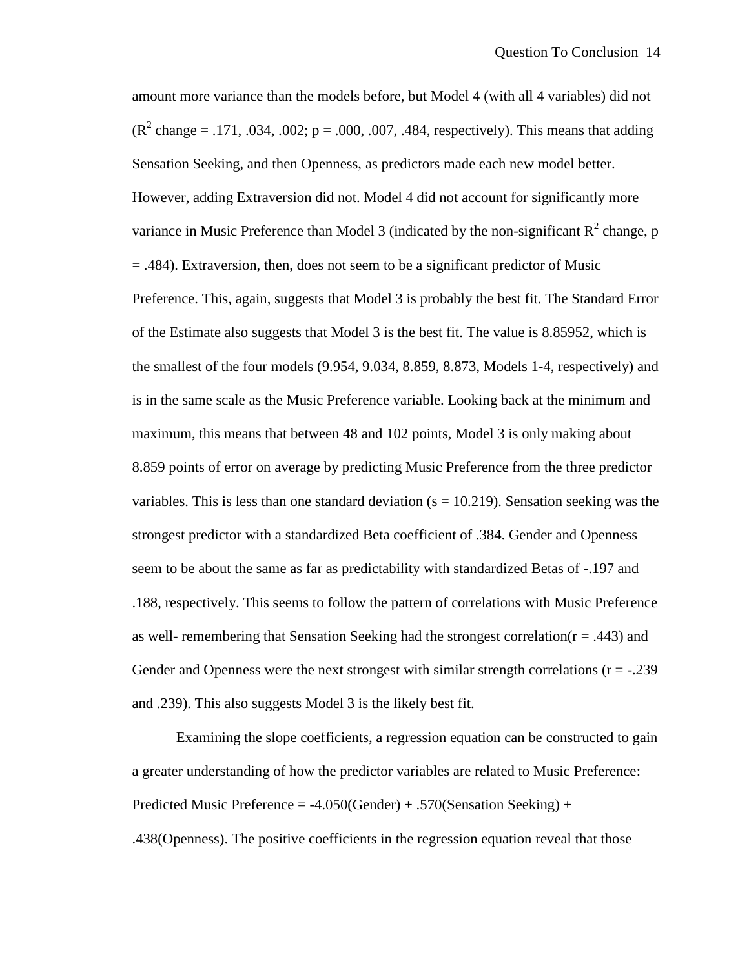amount more variance than the models before, but Model 4 (with all 4 variables) did not ( $R^2$  change = .171, .034, .002; p = .000, .007, .484, respectively). This means that adding Sensation Seeking, and then Openness, as predictors made each new model better. However, adding Extraversion did not. Model 4 did not account for significantly more variance in Music Preference than Model 3 (indicated by the non-significant  $R^2$  change, p = .484). Extraversion, then, does not seem to be a significant predictor of Music Preference. This, again, suggests that Model 3 is probably the best fit. The Standard Error of the Estimate also suggests that Model 3 is the best fit. The value is 8.85952, which is the smallest of the four models (9.954, 9.034, 8.859, 8.873, Models 1-4, respectively) and is in the same scale as the Music Preference variable. Looking back at the minimum and maximum, this means that between 48 and 102 points, Model 3 is only making about 8.859 points of error on average by predicting Music Preference from the three predictor variables. This is less than one standard deviation  $(s = 10.219)$ . Sensation seeking was the strongest predictor with a standardized Beta coefficient of .384. Gender and Openness seem to be about the same as far as predictability with standardized Betas of -.197 and .188, respectively. This seems to follow the pattern of correlations with Music Preference as well- remembering that Sensation Seeking had the strongest correlation( $r = .443$ ) and Gender and Openness were the next strongest with similar strength correlations  $(r = -0.239)$ and .239). This also suggests Model 3 is the likely best fit.

Examining the slope coefficients, a regression equation can be constructed to gain a greater understanding of how the predictor variables are related to Music Preference: Predicted Music Preference = -4.050(Gender) + .570(Sensation Seeking) +

.438(Openness). The positive coefficients in the regression equation reveal that those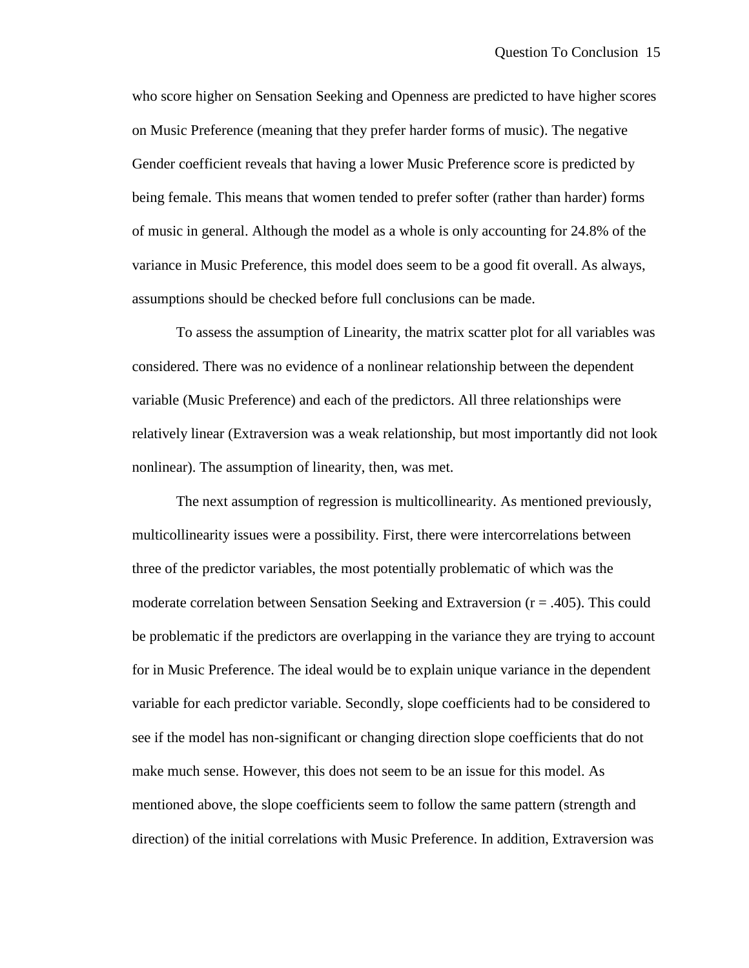who score higher on Sensation Seeking and Openness are predicted to have higher scores on Music Preference (meaning that they prefer harder forms of music). The negative Gender coefficient reveals that having a lower Music Preference score is predicted by being female. This means that women tended to prefer softer (rather than harder) forms of music in general. Although the model as a whole is only accounting for 24.8% of the variance in Music Preference, this model does seem to be a good fit overall. As always, assumptions should be checked before full conclusions can be made.

To assess the assumption of Linearity, the matrix scatter plot for all variables was considered. There was no evidence of a nonlinear relationship between the dependent variable (Music Preference) and each of the predictors. All three relationships were relatively linear (Extraversion was a weak relationship, but most importantly did not look nonlinear). The assumption of linearity, then, was met.

The next assumption of regression is multicollinearity. As mentioned previously, multicollinearity issues were a possibility. First, there were intercorrelations between three of the predictor variables, the most potentially problematic of which was the moderate correlation between Sensation Seeking and Extraversion (r = .405). This could be problematic if the predictors are overlapping in the variance they are trying to account for in Music Preference. The ideal would be to explain unique variance in the dependent variable for each predictor variable. Secondly, slope coefficients had to be considered to see if the model has non-significant or changing direction slope coefficients that do not make much sense. However, this does not seem to be an issue for this model. As mentioned above, the slope coefficients seem to follow the same pattern (strength and direction) of the initial correlations with Music Preference. In addition, Extraversion was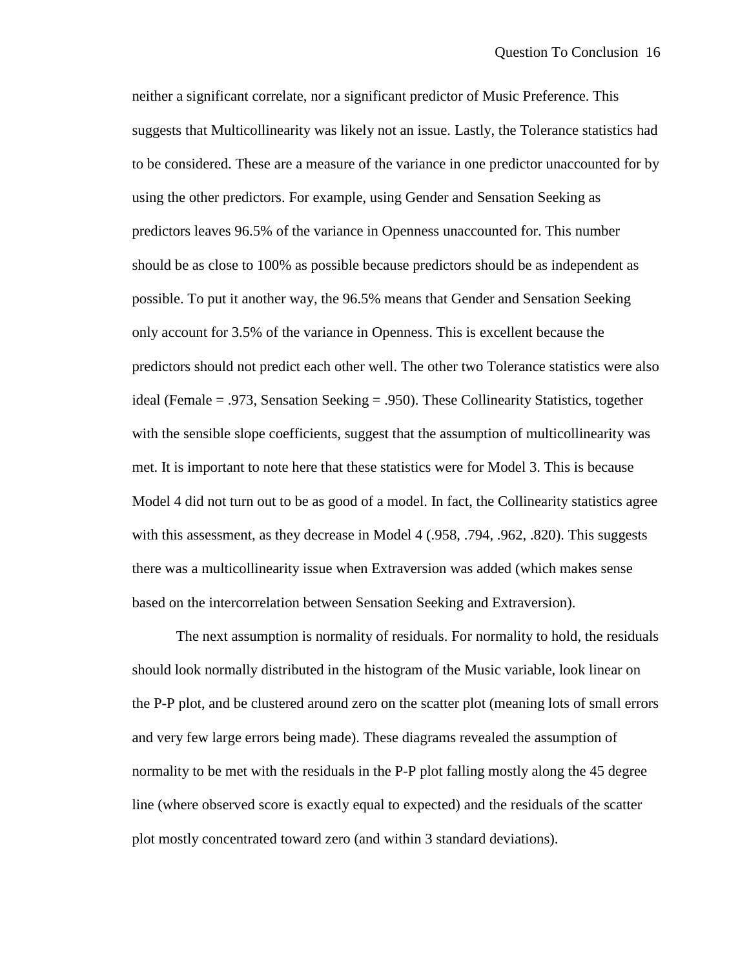neither a significant correlate, nor a significant predictor of Music Preference. This suggests that Multicollinearity was likely not an issue. Lastly, the Tolerance statistics had to be considered. These are a measure of the variance in one predictor unaccounted for by using the other predictors. For example, using Gender and Sensation Seeking as predictors leaves 96.5% of the variance in Openness unaccounted for. This number should be as close to 100% as possible because predictors should be as independent as possible. To put it another way, the 96.5% means that Gender and Sensation Seeking only account for 3.5% of the variance in Openness. This is excellent because the predictors should not predict each other well. The other two Tolerance statistics were also ideal (Female = .973, Sensation Seeking = .950). These Collinearity Statistics, together with the sensible slope coefficients, suggest that the assumption of multicollinearity was met. It is important to note here that these statistics were for Model 3. This is because Model 4 did not turn out to be as good of a model. In fact, the Collinearity statistics agree with this assessment, as they decrease in Model 4 (.958, .794, .962, .820). This suggests there was a multicollinearity issue when Extraversion was added (which makes sense based on the intercorrelation between Sensation Seeking and Extraversion).

The next assumption is normality of residuals. For normality to hold, the residuals should look normally distributed in the histogram of the Music variable, look linear on the P-P plot, and be clustered around zero on the scatter plot (meaning lots of small errors and very few large errors being made). These diagrams revealed the assumption of normality to be met with the residuals in the P-P plot falling mostly along the 45 degree line (where observed score is exactly equal to expected) and the residuals of the scatter plot mostly concentrated toward zero (and within 3 standard deviations).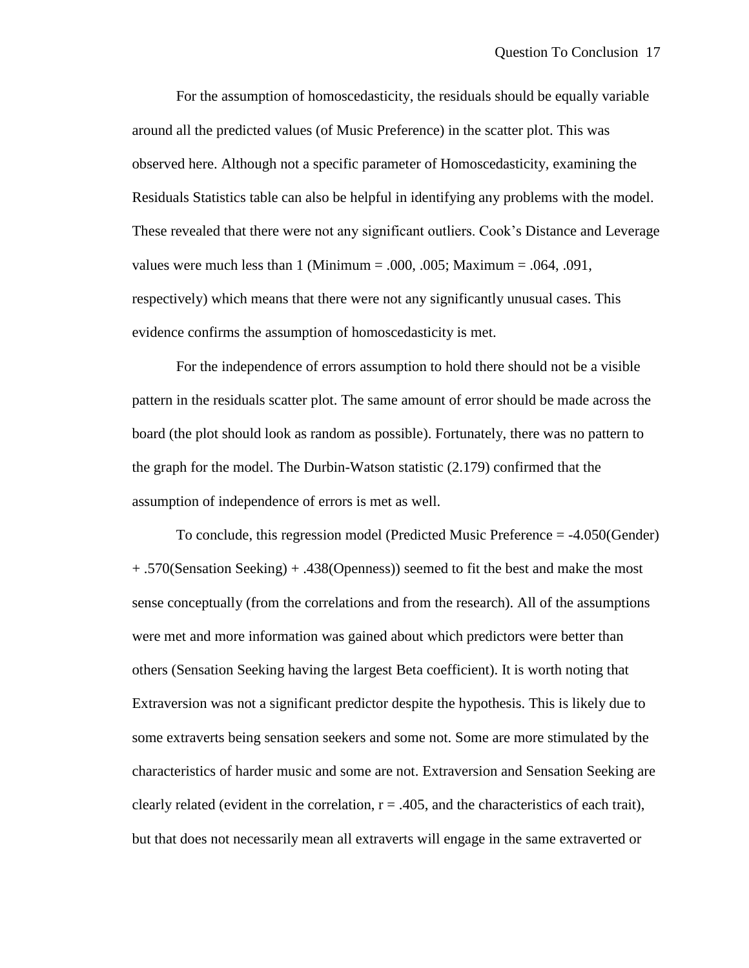For the assumption of homoscedasticity, the residuals should be equally variable around all the predicted values (of Music Preference) in the scatter plot. This was observed here. Although not a specific parameter of Homoscedasticity, examining the Residuals Statistics table can also be helpful in identifying any problems with the model. These revealed that there were not any significant outliers. Cook"s Distance and Leverage values were much less than  $1$  (Minimum = .000, .005; Maximum = .064, .091, respectively) which means that there were not any significantly unusual cases. This evidence confirms the assumption of homoscedasticity is met.

For the independence of errors assumption to hold there should not be a visible pattern in the residuals scatter plot. The same amount of error should be made across the board (the plot should look as random as possible). Fortunately, there was no pattern to the graph for the model. The Durbin-Watson statistic (2.179) confirmed that the assumption of independence of errors is met as well.

To conclude, this regression model (Predicted Music Preference = -4.050(Gender) + .570(Sensation Seeking) + .438(Openness)) seemed to fit the best and make the most sense conceptually (from the correlations and from the research). All of the assumptions were met and more information was gained about which predictors were better than others (Sensation Seeking having the largest Beta coefficient). It is worth noting that Extraversion was not a significant predictor despite the hypothesis. This is likely due to some extraverts being sensation seekers and some not. Some are more stimulated by the characteristics of harder music and some are not. Extraversion and Sensation Seeking are clearly related (evident in the correlation,  $r = .405$ , and the characteristics of each trait), but that does not necessarily mean all extraverts will engage in the same extraverted or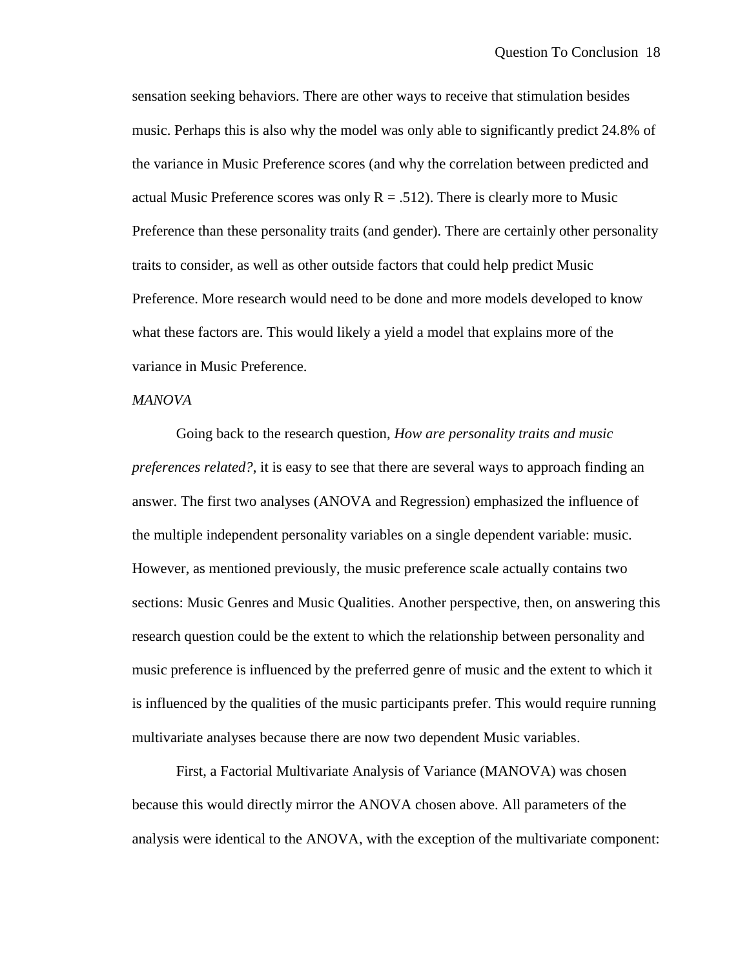sensation seeking behaviors. There are other ways to receive that stimulation besides music. Perhaps this is also why the model was only able to significantly predict 24.8% of the variance in Music Preference scores (and why the correlation between predicted and actual Music Preference scores was only  $R = .512$ ). There is clearly more to Music Preference than these personality traits (and gender). There are certainly other personality traits to consider, as well as other outside factors that could help predict Music Preference. More research would need to be done and more models developed to know what these factors are. This would likely a yield a model that explains more of the variance in Music Preference.

#### *MANOVA*

Going back to the research question, *How are personality traits and music preferences related?*, it is easy to see that there are several ways to approach finding an answer. The first two analyses (ANOVA and Regression) emphasized the influence of the multiple independent personality variables on a single dependent variable: music. However, as mentioned previously, the music preference scale actually contains two sections: Music Genres and Music Qualities. Another perspective, then, on answering this research question could be the extent to which the relationship between personality and music preference is influenced by the preferred genre of music and the extent to which it is influenced by the qualities of the music participants prefer. This would require running multivariate analyses because there are now two dependent Music variables.

First, a Factorial Multivariate Analysis of Variance (MANOVA) was chosen because this would directly mirror the ANOVA chosen above. All parameters of the analysis were identical to the ANOVA, with the exception of the multivariate component: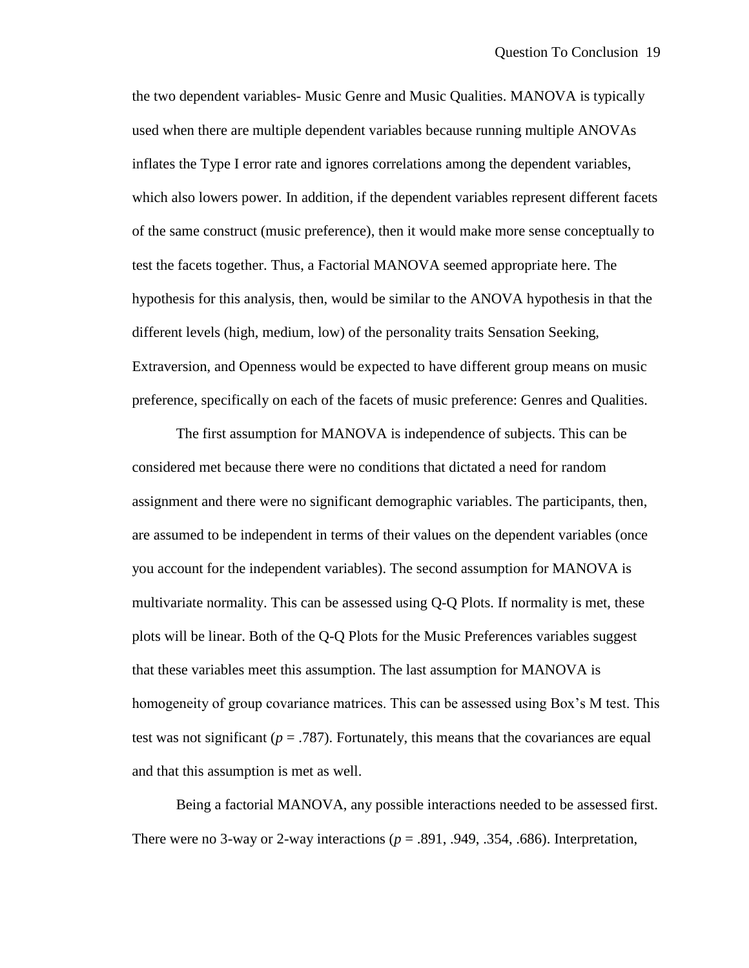the two dependent variables- Music Genre and Music Qualities. MANOVA is typically used when there are multiple dependent variables because running multiple ANOVAs inflates the Type I error rate and ignores correlations among the dependent variables, which also lowers power. In addition, if the dependent variables represent different facets of the same construct (music preference), then it would make more sense conceptually to test the facets together. Thus, a Factorial MANOVA seemed appropriate here. The hypothesis for this analysis, then, would be similar to the ANOVA hypothesis in that the different levels (high, medium, low) of the personality traits Sensation Seeking, Extraversion, and Openness would be expected to have different group means on music preference, specifically on each of the facets of music preference: Genres and Qualities.

The first assumption for MANOVA is independence of subjects. This can be considered met because there were no conditions that dictated a need for random assignment and there were no significant demographic variables. The participants, then, are assumed to be independent in terms of their values on the dependent variables (once you account for the independent variables). The second assumption for MANOVA is multivariate normality. This can be assessed using Q-Q Plots. If normality is met, these plots will be linear. Both of the Q-Q Plots for the Music Preferences variables suggest that these variables meet this assumption. The last assumption for MANOVA is homogeneity of group covariance matrices. This can be assessed using Box's M test. This test was not significant ( $p = .787$ ). Fortunately, this means that the covariances are equal and that this assumption is met as well.

Being a factorial MANOVA, any possible interactions needed to be assessed first. There were no 3-way or 2-way interactions  $(p = .891, .949, .354, .686)$ . Interpretation,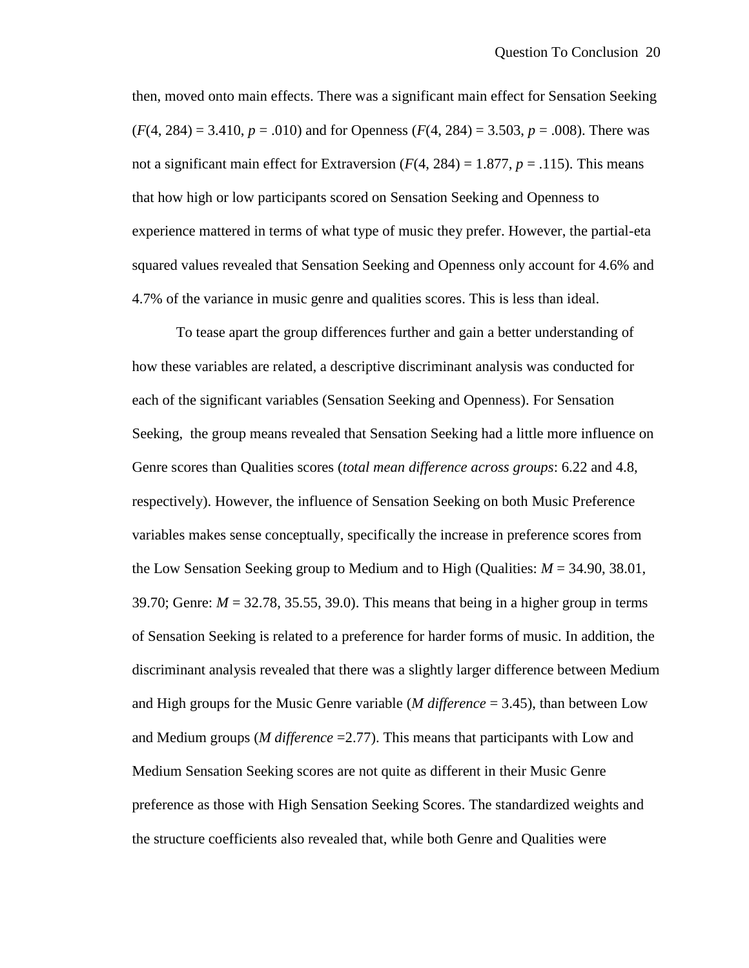then, moved onto main effects. There was a significant main effect for Sensation Seeking  $(F(4, 284) = 3.410, p = .010)$  and for Openness  $(F(4, 284) = 3.503, p = .008)$ . There was not a significant main effect for Extraversion  $(F(4, 284) = 1.877, p = .115)$ . This means that how high or low participants scored on Sensation Seeking and Openness to experience mattered in terms of what type of music they prefer. However, the partial-eta squared values revealed that Sensation Seeking and Openness only account for 4.6% and 4.7% of the variance in music genre and qualities scores. This is less than ideal.

To tease apart the group differences further and gain a better understanding of how these variables are related, a descriptive discriminant analysis was conducted for each of the significant variables (Sensation Seeking and Openness). For Sensation Seeking, the group means revealed that Sensation Seeking had a little more influence on Genre scores than Qualities scores (*total mean difference across groups*: 6.22 and 4.8, respectively). However, the influence of Sensation Seeking on both Music Preference variables makes sense conceptually, specifically the increase in preference scores from the Low Sensation Seeking group to Medium and to High (Qualities: *M* = 34.90, 38.01, 39.70; Genre:  $M = 32.78$ , 35.55, 39.0). This means that being in a higher group in terms of Sensation Seeking is related to a preference for harder forms of music. In addition, the discriminant analysis revealed that there was a slightly larger difference between Medium and High groups for the Music Genre variable (*M difference* = 3.45), than between Low and Medium groups (*M difference* =2.77). This means that participants with Low and Medium Sensation Seeking scores are not quite as different in their Music Genre preference as those with High Sensation Seeking Scores. The standardized weights and the structure coefficients also revealed that, while both Genre and Qualities were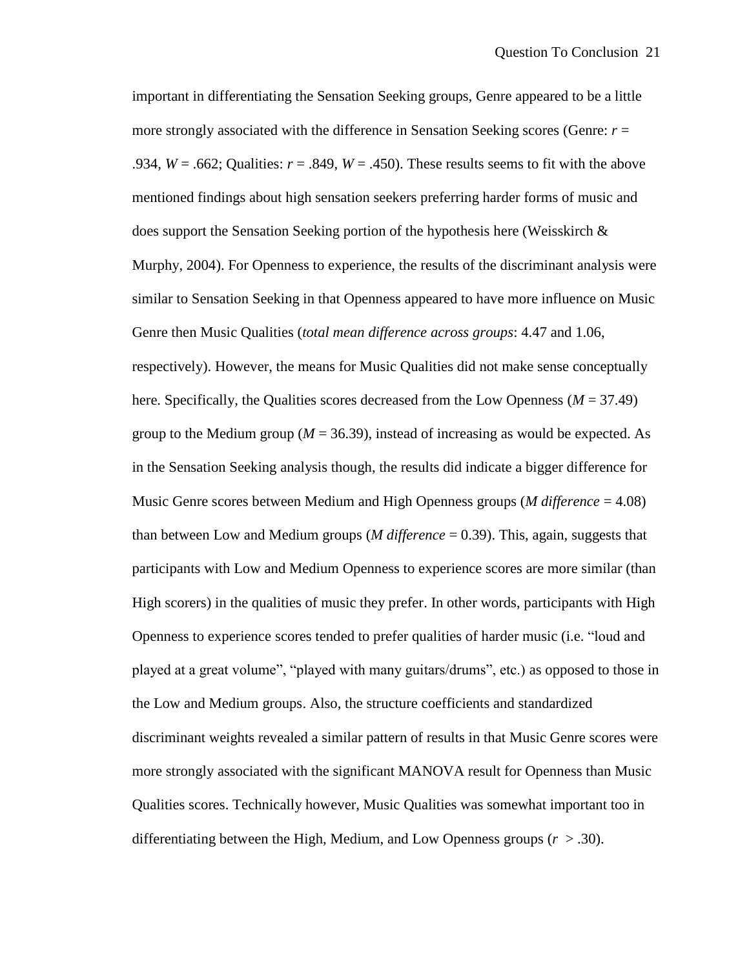important in differentiating the Sensation Seeking groups, Genre appeared to be a little more strongly associated with the difference in Sensation Seeking scores (Genre: *r* = .934, *W* = .662; Qualities: *r* = .849, *W* = .450). These results seems to fit with the above mentioned findings about high sensation seekers preferring harder forms of music and does support the Sensation Seeking portion of the hypothesis here (Weisskirch  $\&$ Murphy, 2004). For Openness to experience, the results of the discriminant analysis were similar to Sensation Seeking in that Openness appeared to have more influence on Music Genre then Music Qualities (*total mean difference across groups*: 4.47 and 1.06, respectively). However, the means for Music Qualities did not make sense conceptually here. Specifically, the Qualities scores decreased from the Low Openness (*M* = 37.49) group to the Medium group ( $M = 36.39$ ), instead of increasing as would be expected. As in the Sensation Seeking analysis though, the results did indicate a bigger difference for Music Genre scores between Medium and High Openness groups (*M difference* = 4.08) than between Low and Medium groups (*M difference* = 0.39). This, again, suggests that participants with Low and Medium Openness to experience scores are more similar (than High scorers) in the qualities of music they prefer. In other words, participants with High Openness to experience scores tended to prefer qualities of harder music (i.e. "loud and played at a great volume", "played with many guitars/drums", etc.) as opposed to those in the Low and Medium groups. Also, the structure coefficients and standardized discriminant weights revealed a similar pattern of results in that Music Genre scores were more strongly associated with the significant MANOVA result for Openness than Music Qualities scores. Technically however, Music Qualities was somewhat important too in differentiating between the High, Medium, and Low Openness groups (*r* > .30).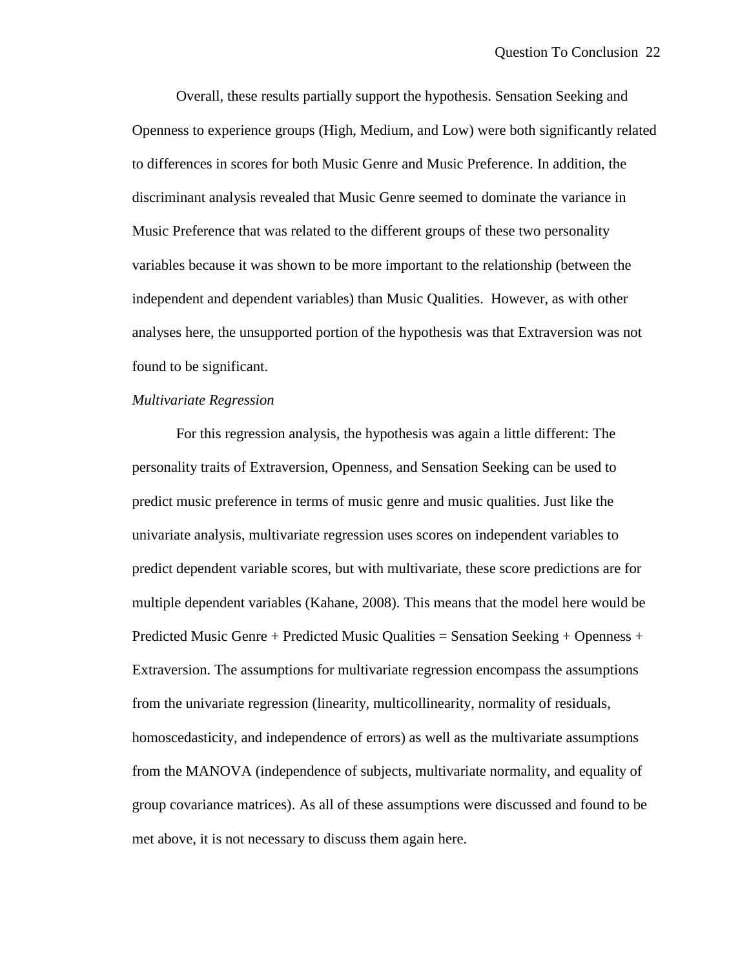Overall, these results partially support the hypothesis. Sensation Seeking and Openness to experience groups (High, Medium, and Low) were both significantly related to differences in scores for both Music Genre and Music Preference. In addition, the discriminant analysis revealed that Music Genre seemed to dominate the variance in Music Preference that was related to the different groups of these two personality variables because it was shown to be more important to the relationship (between the independent and dependent variables) than Music Qualities. However, as with other analyses here, the unsupported portion of the hypothesis was that Extraversion was not found to be significant.

# *Multivariate Regression*

For this regression analysis, the hypothesis was again a little different: The personality traits of Extraversion, Openness, and Sensation Seeking can be used to predict music preference in terms of music genre and music qualities. Just like the univariate analysis, multivariate regression uses scores on independent variables to predict dependent variable scores, but with multivariate, these score predictions are for multiple dependent variables (Kahane, 2008). This means that the model here would be Predicted Music Genre + Predicted Music Qualities = Sensation Seeking + Openness + Extraversion. The assumptions for multivariate regression encompass the assumptions from the univariate regression (linearity, multicollinearity, normality of residuals, homoscedasticity, and independence of errors) as well as the multivariate assumptions from the MANOVA (independence of subjects, multivariate normality, and equality of group covariance matrices). As all of these assumptions were discussed and found to be met above, it is not necessary to discuss them again here.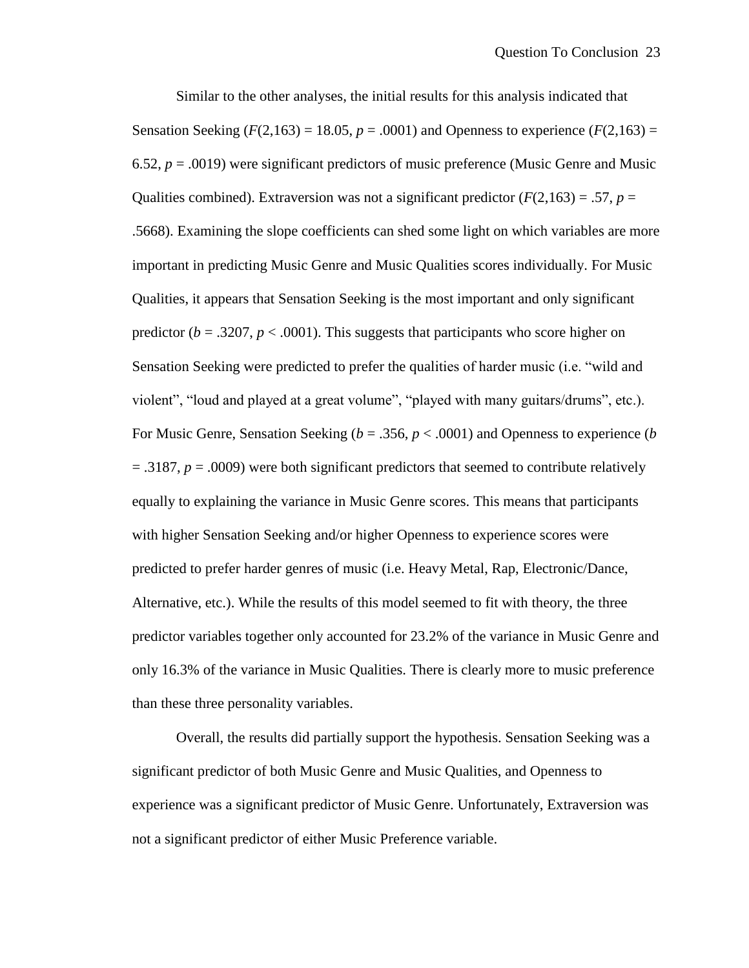Similar to the other analyses, the initial results for this analysis indicated that Sensation Seeking ( $F(2,163) = 18.05$ ,  $p = .0001$ ) and Openness to experience ( $F(2,163) =$ 6.52,  $p = .0019$ ) were significant predictors of music preference (Music Genre and Music Qualities combined). Extraversion was not a significant predictor  $(F(2,163) = .57, p =$ .5668). Examining the slope coefficients can shed some light on which variables are more important in predicting Music Genre and Music Qualities scores individually. For Music Qualities, it appears that Sensation Seeking is the most important and only significant predictor  $(b = .3207, p < .0001)$ . This suggests that participants who score higher on Sensation Seeking were predicted to prefer the qualities of harder music (i.e. "wild and violent", "loud and played at a great volume", "played with many guitars/drums", etc.). For Music Genre, Sensation Seeking ( $b = .356$ ,  $p < .0001$ ) and Openness to experience (*b* = .3187, *p* = .0009) were both significant predictors that seemed to contribute relatively equally to explaining the variance in Music Genre scores. This means that participants with higher Sensation Seeking and/or higher Openness to experience scores were predicted to prefer harder genres of music (i.e. Heavy Metal, Rap, Electronic/Dance, Alternative, etc.). While the results of this model seemed to fit with theory, the three predictor variables together only accounted for 23.2% of the variance in Music Genre and only 16.3% of the variance in Music Qualities. There is clearly more to music preference than these three personality variables.

Overall, the results did partially support the hypothesis. Sensation Seeking was a significant predictor of both Music Genre and Music Qualities, and Openness to experience was a significant predictor of Music Genre. Unfortunately, Extraversion was not a significant predictor of either Music Preference variable.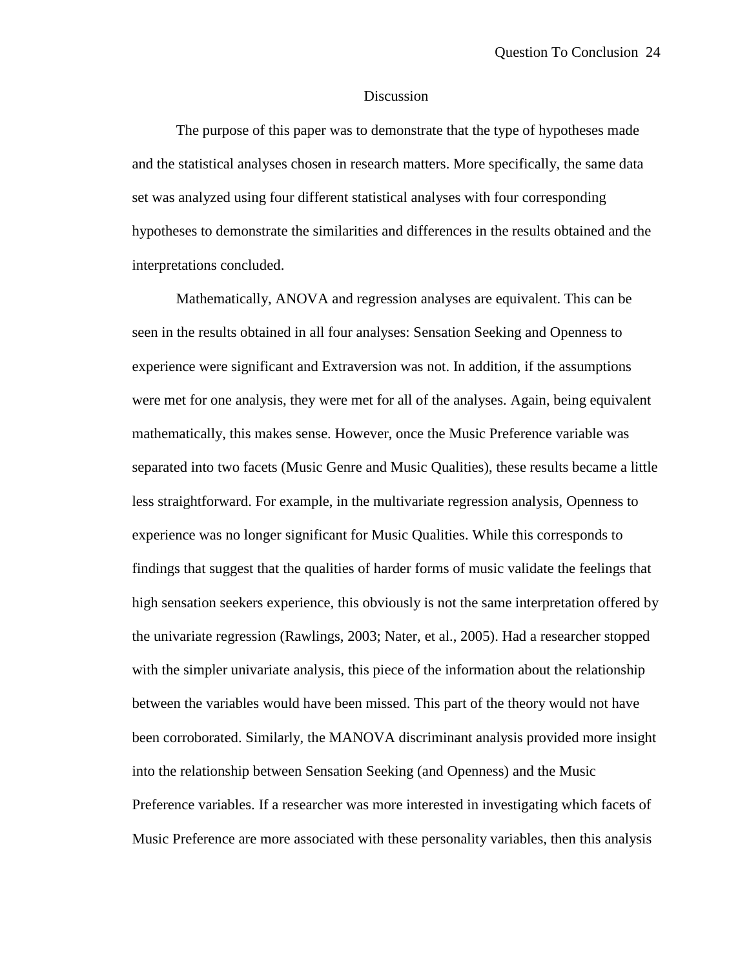# **Discussion**

The purpose of this paper was to demonstrate that the type of hypotheses made and the statistical analyses chosen in research matters. More specifically, the same data set was analyzed using four different statistical analyses with four corresponding hypotheses to demonstrate the similarities and differences in the results obtained and the interpretations concluded.

Mathematically, ANOVA and regression analyses are equivalent. This can be seen in the results obtained in all four analyses: Sensation Seeking and Openness to experience were significant and Extraversion was not. In addition, if the assumptions were met for one analysis, they were met for all of the analyses. Again, being equivalent mathematically, this makes sense. However, once the Music Preference variable was separated into two facets (Music Genre and Music Qualities), these results became a little less straightforward. For example, in the multivariate regression analysis, Openness to experience was no longer significant for Music Qualities. While this corresponds to findings that suggest that the qualities of harder forms of music validate the feelings that high sensation seekers experience, this obviously is not the same interpretation offered by the univariate regression (Rawlings, 2003; Nater, et al., 2005). Had a researcher stopped with the simpler univariate analysis, this piece of the information about the relationship between the variables would have been missed. This part of the theory would not have been corroborated. Similarly, the MANOVA discriminant analysis provided more insight into the relationship between Sensation Seeking (and Openness) and the Music Preference variables. If a researcher was more interested in investigating which facets of Music Preference are more associated with these personality variables, then this analysis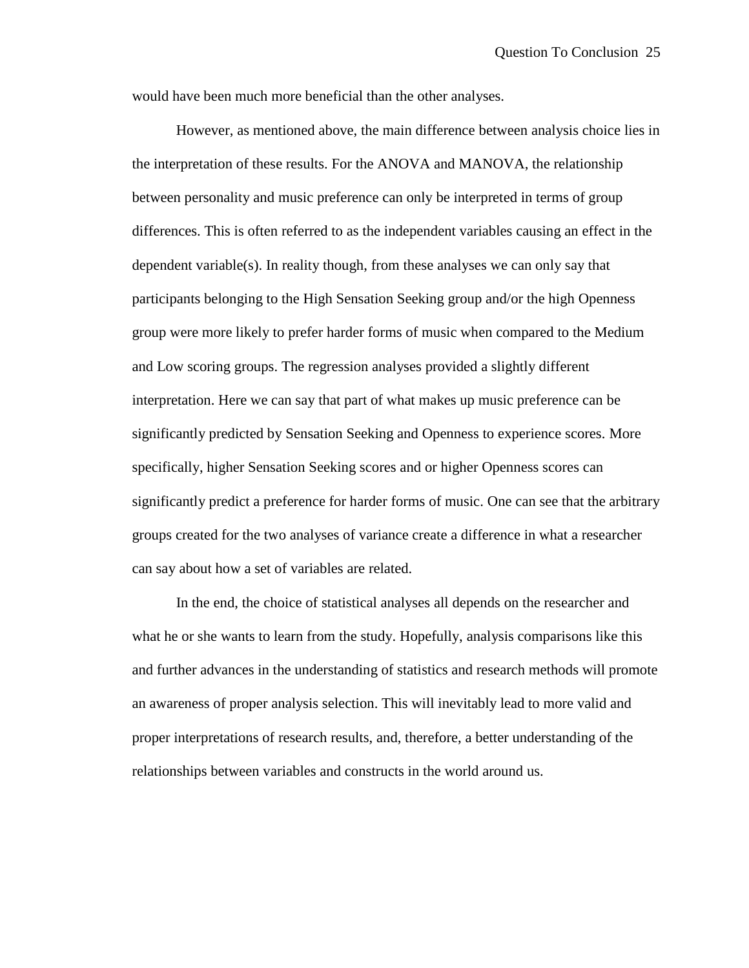would have been much more beneficial than the other analyses.

However, as mentioned above, the main difference between analysis choice lies in the interpretation of these results. For the ANOVA and MANOVA, the relationship between personality and music preference can only be interpreted in terms of group differences. This is often referred to as the independent variables causing an effect in the dependent variable(s). In reality though, from these analyses we can only say that participants belonging to the High Sensation Seeking group and/or the high Openness group were more likely to prefer harder forms of music when compared to the Medium and Low scoring groups. The regression analyses provided a slightly different interpretation. Here we can say that part of what makes up music preference can be significantly predicted by Sensation Seeking and Openness to experience scores. More specifically, higher Sensation Seeking scores and or higher Openness scores can significantly predict a preference for harder forms of music. One can see that the arbitrary groups created for the two analyses of variance create a difference in what a researcher can say about how a set of variables are related.

In the end, the choice of statistical analyses all depends on the researcher and what he or she wants to learn from the study. Hopefully, analysis comparisons like this and further advances in the understanding of statistics and research methods will promote an awareness of proper analysis selection. This will inevitably lead to more valid and proper interpretations of research results, and, therefore, a better understanding of the relationships between variables and constructs in the world around us.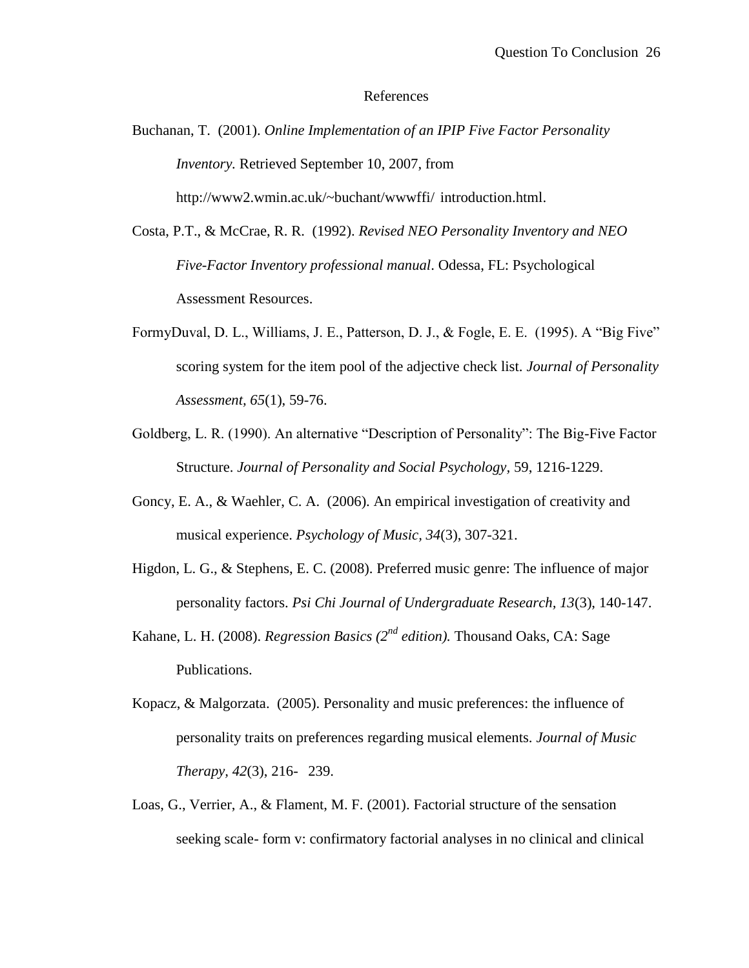#### References

- Buchanan, T. (2001). *Online Implementation of an IPIP Five Factor Personality Inventory.* Retrieved September 10, 2007, from [http://www2.wmin.ac.uk/~buchant/wwwffi/ introduction.](http://www2.wmin.ac.uk/~buchant/wwwffi/introduction)html.
- Costa, P.T., & McCrae, R. R. (1992). *Revised NEO Personality Inventory and NEO Five-Factor Inventory professional manual*. Odessa, FL: Psychological Assessment Resources.
- FormyDuval, D. L., Williams, J. E., Patterson, D. J., & Fogle, E. E. (1995). A "Big Five" scoring system for the item pool of the adjective check list. *Journal of Personality Assessment, 65*(1), 59-76.
- Goldberg, L. R. (1990). An alternative "Description of Personality": The Big-Five Factor Structure. *Journal of Personality and Social Psychology,* 59, 1216-1229.
- Goncy, E. A., & Waehler, C. A. (2006). An empirical investigation of creativity and musical experience. *Psychology of Music, 34*(3), 307-321.
- Higdon, L. G., & Stephens, E. C. (2008). Preferred music genre: The influence of major personality factors. *Psi Chi Journal of Undergraduate Research, 13*(3), 140-147.
- Kahane, L. H. (2008). *Regression Basics (2nd edition).* Thousand Oaks, CA: Sage Publications.
- Kopacz, & Malgorzata. (2005). Personality and music preferences: the influence of personality traits on preferences regarding musical elements. *Journal of Music Therapy, 42*(3), 216- 239.
- Loas, G., Verrier, A., & Flament, M. F. (2001). Factorial structure of the sensation seeking scale- form v: confirmatory factorial analyses in no clinical and clinical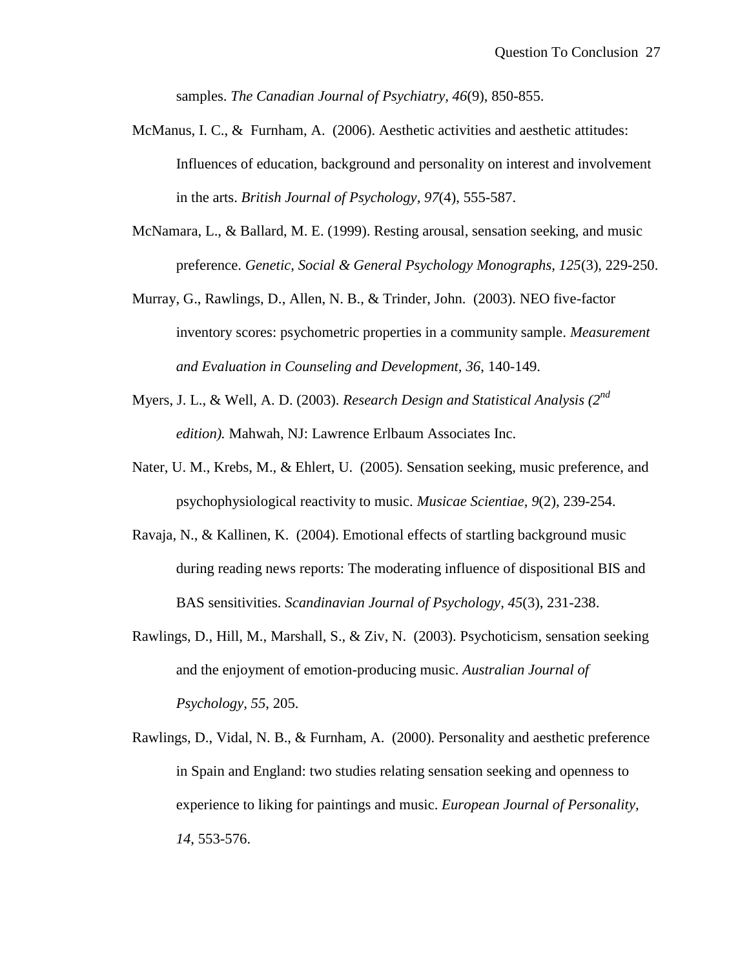samples. *The Canadian Journal of Psychiatry, 46*(9), 850-855.

- McManus, I. C., & Furnham, A. (2006). Aesthetic activities and aesthetic attitudes: Influences of education, background and personality on interest and involvement in the arts. *British Journal of Psychology, 97*(4), 555-587.
- McNamara, L., & Ballard, M. E. (1999). Resting arousal, sensation seeking, and music preference. *Genetic, Social & General Psychology Monographs, 125*(3), 229-250.
- Murray, G., Rawlings, D., Allen, N. B., & Trinder, John. (2003). NEO five-factor inventory scores: psychometric properties in a community sample. *Measurement and Evaluation in Counseling and Development, 36*, 140-149.
- Myers, J. L., & Well, A. D. (2003). *Research Design and Statistical Analysis (2nd edition).* Mahwah, NJ: Lawrence Erlbaum Associates Inc.
- Nater, U. M., Krebs, M., & Ehlert, U. (2005). Sensation seeking, music preference, and psychophysiological reactivity to music. *Musicae Scientiae, 9*(2), 239-254.
- Ravaja, N., & Kallinen, K. (2004). Emotional effects of startling background music during reading news reports: The moderating influence of dispositional BIS and BAS sensitivities. *Scandinavian Journal of Psychology, 45*(3), 231-238.
- Rawlings, D., Hill, M., Marshall, S., & Ziv, N. (2003). Psychoticism, sensation seeking and the enjoyment of emotion-producing music. *Australian Journal of Psychology, 55*, 205.
- Rawlings, D., Vidal, N. B., & Furnham, A. (2000). Personality and aesthetic preference in Spain and England: two studies relating sensation seeking and openness to experience to liking for paintings and music. *European Journal of Personality, 14*, 553-576.